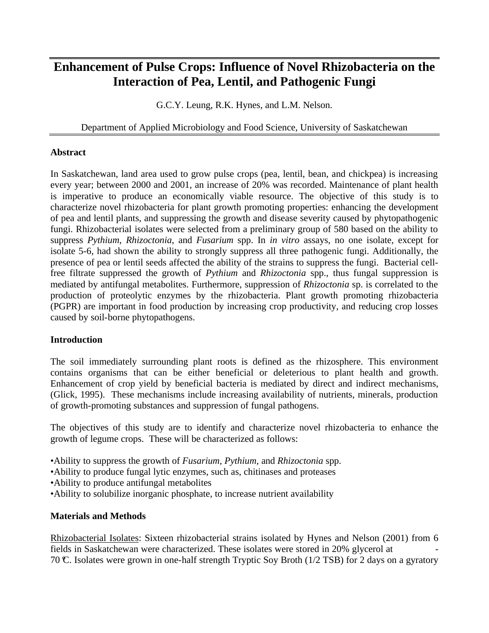# **Enhancement of Pulse Crops: Influence of Novel Rhizobacteria on the Interaction of Pea, Lentil, and Pathogenic Fungi**

G.C.Y. Leung, R.K. Hynes, and L.M. Nelson.

## Department of Applied Microbiology and Food Science, University of Saskatchewan

#### **Abstract**

In Saskatchewan, land area used to grow pulse crops (pea, lentil, bean, and chickpea) is increasing every year; between 2000 and 2001, an increase of 20% was recorded. Maintenance of plant health is imperative to produce an economically viable resource. The objective of this study is to characterize novel rhizobacteria for plant growth promoting properties: enhancing the development of pea and lentil plants, and suppressing the growth and disease severity caused by phytopathogenic fungi. Rhizobacterial isolates were selected from a preliminary group of 580 based on the ability to suppress *Pythium*, *Rhizoctonia*, and *Fusarium* spp. In *in vitro* assays, no one isolate, except for isolate 5-6, had shown the ability to strongly suppress all three pathogenic fungi. Additionally, the presence of pea or lentil seeds affected the ability of the strains to suppress the fungi. Bacterial cellfree filtrate suppressed the growth of *Pythium* and *Rhizoctonia* spp., thus fungal suppression is mediated by antifungal metabolites. Furthermore, suppression of *Rhizoctonia* sp. is correlated to the production of proteolytic enzymes by the rhizobacteria. Plant growth promoting rhizobacteria (PGPR) are important in food production by increasing crop productivity, and reducing crop losses caused by soil-borne phytopathogens.

### **Introduction**

The soil immediately surrounding plant roots is defined as the rhizosphere. This environment contains organisms that can be either beneficial or deleterious to plant health and growth. Enhancement of crop yield by beneficial bacteria is mediated by direct and indirect mechanisms, (Glick, 1995). These mechanisms include increasing availability of nutrients, minerals, production of growth-promoting substances and suppression of fungal pathogens.

The objectives of this study are to identify and characterize novel rhizobacteria to enhance the growth of legume crops. These will be characterized as follows:

- •Ability to suppress the growth of *Fusarium, Pythium,* and *Rhizoctonia* spp.
- •Ability to produce fungal lytic enzymes, such as, chitinases and proteases
- •Ability to produce antifungal metabolites
- •Ability to solubilize inorganic phosphate, to increase nutrient availability

### **Materials and Methods**

Rhizobacterial Isolates: Sixteen rhizobacterial strains isolated by Hynes and Nelson (2001) from 6 fields in Saskatchewan were characterized. These isolates were stored in 20% glycerol at - 70 °C. Isolates were grown in one-half strength Tryptic Soy Broth (1/2 TSB) for 2 days on a gyratory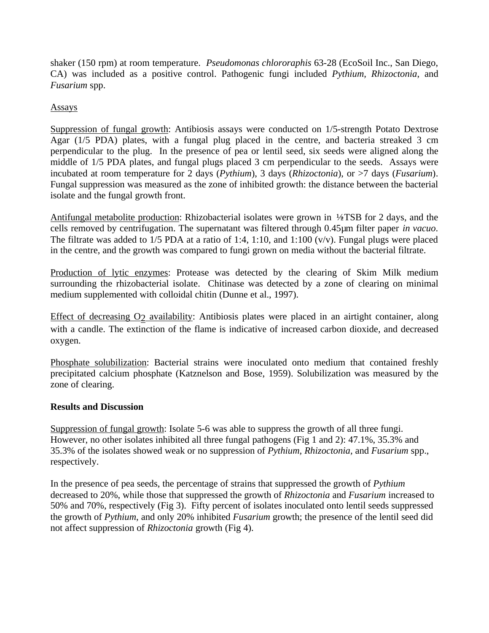shaker (150 rpm) at room temperature. *Pseudomonas chlororaphis* 63-28 (EcoSoil Inc., San Diego, CA) was included as a positive control. Pathogenic fungi included *Pythium, Rhizoctonia*, and *Fusarium* spp.

Assays

Suppression of fungal growth: Antibiosis assays were conducted on 1/5-strength Potato Dextrose Agar (1/5 PDA) plates, with a fungal plug placed in the centre, and bacteria streaked 3 cm perpendicular to the plug. In the presence of pea or lentil seed, six seeds were aligned along the middle of 1/5 PDA plates, and fungal plugs placed 3 cm perpendicular to the seeds. Assays were incubated at room temperature for 2 days (*Pythium*), 3 days (*Rhizoctonia*), or >7 days (*Fusarium*). Fungal suppression was measured as the zone of inhibited growth: the distance between the bacterial isolate and the fungal growth front.

Antifungal metabolite production: Rhizobacterial isolates were grown in  $\frac{1}{2}$ TSB for 2 days, and the cells removed by centrifugation. The supernatant was filtered through 0.45µm filter paper *in vacuo*. The filtrate was added to  $1/5$  PDA at a ratio of 1:4, 1:10, and 1:100 (v/v). Fungal plugs were placed in the centre, and the growth was compared to fungi grown on media without the bacterial filtrate.

Production of lytic enzymes: Protease was detected by the clearing of Skim Milk medium surrounding the rhizobacterial isolate. Chitinase was detected by a zone of clearing on minimal medium supplemented with colloidal chitin (Dunne et al., 1997).

Effect of decreasing O<sub>2</sub> availability: Antibiosis plates were placed in an airtight container, along with a candle. The extinction of the flame is indicative of increased carbon dioxide, and decreased oxygen.

Phosphate solubilization: Bacterial strains were inoculated onto medium that contained freshly precipitated calcium phosphate (Katznelson and Bose, 1959). Solubilization was measured by the zone of clearing.

### **Results and Discussion**

Suppression of fungal growth: Isolate 5-6 was able to suppress the growth of all three fungi. However, no other isolates inhibited all three fungal pathogens (Fig 1 and 2): 47.1%, 35.3% and 35.3% of the isolates showed weak or no suppression of *Pythium, Rhizoctonia,* and *Fusarium* spp., respectively.

In the presence of pea seeds, the percentage of strains that suppressed the growth of *Pythium*  decreased to 20%, while those that suppressed the growth of *Rhizoctonia* and *Fusarium* increased to 50% and 70%, respectively (Fig 3). Fifty percent of isolates inoculated onto lentil seeds suppressed the growth of *Pythium*, and only 20% inhibited *Fusarium* growth; the presence of the lentil seed did not affect suppression of *Rhizoctonia* growth (Fig 4).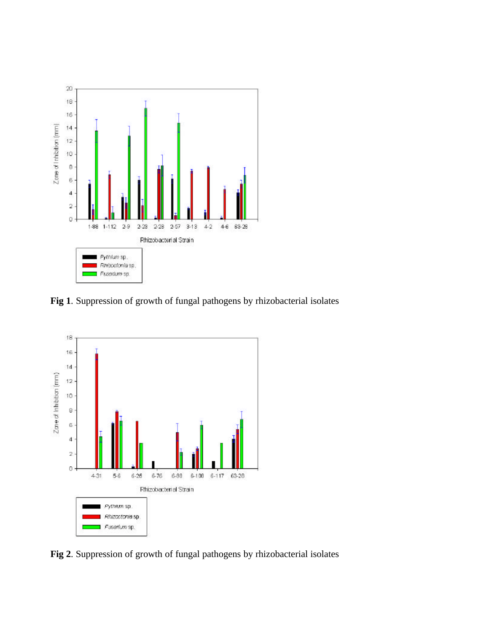

**Fig 1**. Suppression of growth of fungal pathogens by rhizobacterial isolates



**Fig 2**. Suppression of growth of fungal pathogens by rhizobacterial isolates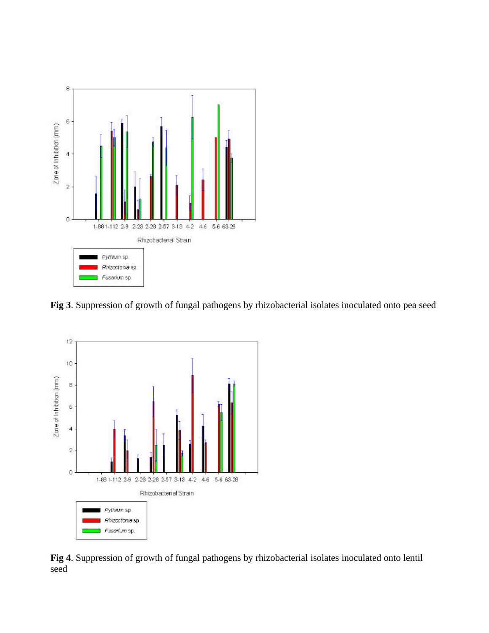

**Fig 3**. Suppression of growth of fungal pathogens by rhizobacterial isolates inoculated onto pea seed



**Fig 4**. Suppression of growth of fungal pathogens by rhizobacterial isolates inoculated onto lentil seed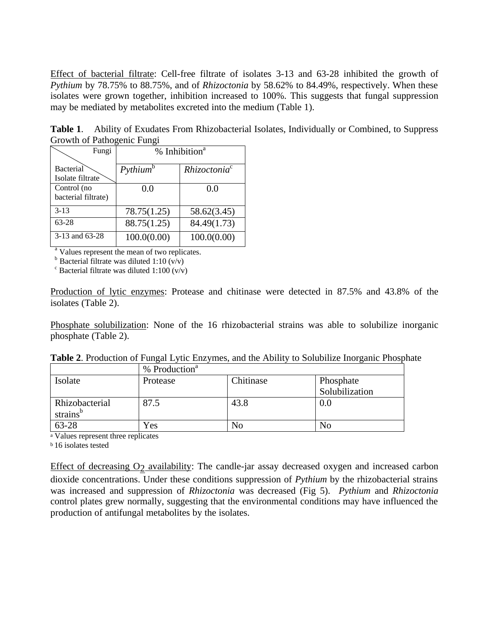Effect of bacterial filtrate: Cell-free filtrate of isolates 3-13 and 63-28 inhibited the growth of *Pythium* by 78.75% to 88.75%, and of *Rhizoctonia* by 58.62% to 84.49%, respectively. When these isolates were grown together, inhibition increased to 100%. This suggests that fungal suppression may be mediated by metabolites excreted into the medium (Table 1).

**Table 1**. Ability of Exudates From Rhizobacterial Isolates, Individually or Combined, to Suppress Growth of Pathogenic Fungi

| Fungi                                | % Inhibition <sup>a</sup> |                          |
|--------------------------------------|---------------------------|--------------------------|
| <b>Bacterial</b><br>Isolate filtrate | Python <sup>b</sup>       | Rhizoctonia <sup>c</sup> |
| Control (no<br>bacterial filtrate)   | 0.0                       | 0.0                      |
| $3 - 13$                             | 78.75(1.25)               | 58.62(3.45)              |
| $63 - 28$                            | 88.75(1.25)               | 84.49(1.73)              |
| 3-13 and 63-28                       | 100.0(0.00)               | 100.0(0.00)              |

<sup>a</sup> Values represent the mean of two replicates.

 $b$  Bacterial filtrate was diluted 1:10 (v/v)

 $\epsilon$  Bacterial filtrate was diluted 1:100 (v/v)

Production of lytic enzymes: Protease and chitinase were detected in 87.5% and 43.8% of the isolates (Table 2).

Phosphate solubilization: None of the 16 rhizobacterial strains was able to solubilize inorganic phosphate (Table 2).

|                      | % Production <sup>a</sup> |           |                |
|----------------------|---------------------------|-----------|----------------|
| Isolate              | Protease                  | Chitinase | Phosphate      |
|                      |                           |           | Solubilization |
| Rhizobacterial       | 87.5                      | 43.8      | 0.0            |
| strains <sup>b</sup> |                           |           |                |
| 63-28                | Yes                       | No        | No             |

<sup>a</sup> Values represent three replicates

**b** 16 isolates tested

Effect of decreasing  $O<sub>2</sub>$  availability: The candle-jar assay decreased oxygen and increased carbon dioxide concentrations. Under these conditions suppression of *Pythium* by the rhizobacterial strains was increased and suppression of *Rhizoctonia* was decreased (Fig 5). *Pythium* and *Rhizoctonia* control plates grew normally, suggesting that the environmental conditions may have influenced the production of antifungal metabolites by the isolates.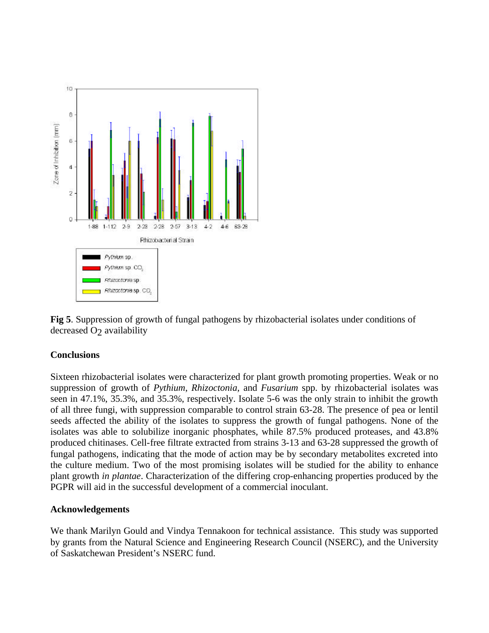

**Fig 5**. Suppression of growth of fungal pathogens by rhizobacterial isolates under conditions of decreased O<sub>2</sub> availability

### **Conclusions**

Sixteen rhizobacterial isolates were characterized for plant growth promoting properties. Weak or no suppression of growth of *Pythium*, *Rhizoctonia,* and *Fusarium* spp. by rhizobacterial isolates was seen in 47.1%, 35.3%, and 35.3%, respectively. Isolate 5-6 was the only strain to inhibit the growth of all three fungi, with suppression comparable to control strain 63-28. The presence of pea or lentil seeds affected the ability of the isolates to suppress the growth of fungal pathogens. None of the isolates was able to solubilize inorganic phosphates, while 87.5% produced proteases, and 43.8% produced chitinases. Cell-free filtrate extracted from strains 3-13 and 63-28 suppressed the growth of fungal pathogens, indicating that the mode of action may be by secondary metabolites excreted into the culture medium. Two of the most promising isolates will be studied for the ability to enhance plant growth *in plantae*. Characterization of the differing crop-enhancing properties produced by the PGPR will aid in the successful development of a commercial inoculant.

### **Acknowledgements**

We thank Marilyn Gould and Vindya Tennakoon for technical assistance. This study was supported by grants from the Natural Science and Engineering Research Council (NSERC), and the University of Saskatchewan President's NSERC fund.